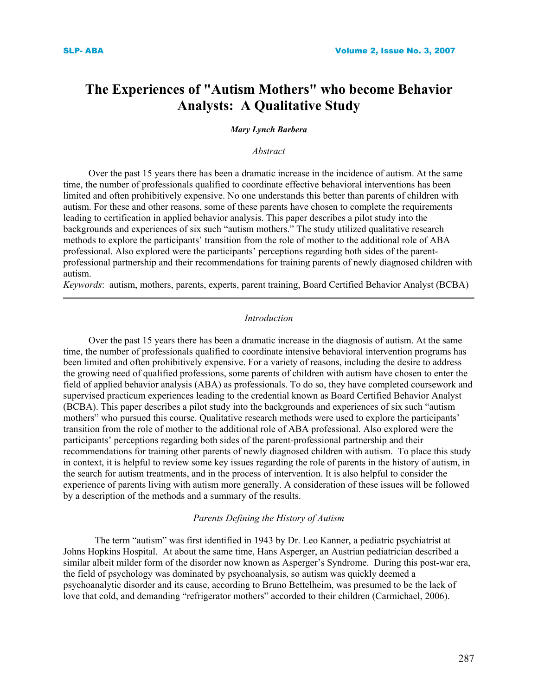# **The Experiences of "Autism Mothers" who become Behavior Analysts: A Qualitative Study**

### *Mary Lynch Barbera*

#### *Abstract*

 Over the past 15 years there has been a dramatic increase in the incidence of autism. At the same time, the number of professionals qualified to coordinate effective behavioral interventions has been limited and often prohibitively expensive. No one understands this better than parents of children with autism. For these and other reasons, some of these parents have chosen to complete the requirements leading to certification in applied behavior analysis. This paper describes a pilot study into the backgrounds and experiences of six such "autism mothers." The study utilized qualitative research methods to explore the participants' transition from the role of mother to the additional role of ABA professional. Also explored were the participants' perceptions regarding both sides of the parentprofessional partnership and their recommendations for training parents of newly diagnosed children with autism.

*Keywords*: autism, mothers, parents, experts, parent training, Board Certified Behavior Analyst (BCBA)

#### *Introduction*

 Over the past 15 years there has been a dramatic increase in the diagnosis of autism. At the same time, the number of professionals qualified to coordinate intensive behavioral intervention programs has been limited and often prohibitively expensive. For a variety of reasons, including the desire to address the growing need of qualified professions, some parents of children with autism have chosen to enter the field of applied behavior analysis (ABA) as professionals. To do so, they have completed coursework and supervised practicum experiences leading to the credential known as Board Certified Behavior Analyst (BCBA). This paper describes a pilot study into the backgrounds and experiences of six such "autism mothers" who pursued this course. Qualitative research methods were used to explore the participants' transition from the role of mother to the additional role of ABA professional. Also explored were the participants' perceptions regarding both sides of the parent-professional partnership and their recommendations for training other parents of newly diagnosed children with autism. To place this study in context, it is helpful to review some key issues regarding the role of parents in the history of autism, in the search for autism treatments, and in the process of intervention. It is also helpful to consider the experience of parents living with autism more generally. A consideration of these issues will be followed by a description of the methods and a summary of the results.

# *Parents Defining the History of Autism*

The term "autism" was first identified in 1943 by Dr. Leo Kanner, a pediatric psychiatrist at Johns Hopkins Hospital. At about the same time, Hans Asperger, an Austrian pediatrician described a similar albeit milder form of the disorder now known as Asperger's Syndrome. During this post-war era, the field of psychology was dominated by psychoanalysis, so autism was quickly deemed a psychoanalytic disorder and its cause, according to Bruno Bettelheim, was presumed to be the lack of love that cold, and demanding "refrigerator mothers" accorded to their children (Carmichael, 2006).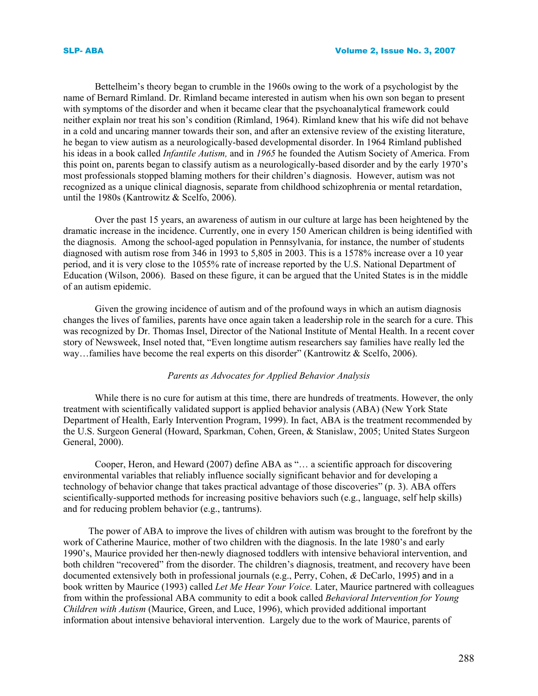Bettelheim's theory began to crumble in the 1960s owing to the work of a psychologist by the name of Bernard Rimland. Dr. Rimland became interested in autism when his own son began to present with symptoms of the disorder and when it became clear that the psychoanalytical framework could neither explain nor treat his son's condition (Rimland, 1964). Rimland knew that his wife did not behave in a cold and uncaring manner towards their son, and after an extensive review of the existing literature, he began to view autism as a neurologically-based developmental disorder. In 1964 Rimland published his ideas in a book called *Infantile Autism,* and in *1965* he founded the Autism Society of America. From this point on, parents began to classify autism as a neurologically-based disorder and by the early 1970's most professionals stopped blaming mothers for their children's diagnosis. However, autism was not recognized as a unique clinical diagnosis, separate from childhood schizophrenia or mental retardation, until the 1980s (Kantrowitz & Scelfo, 2006).

Over the past 15 years, an awareness of autism in our culture at large has been heightened by the dramatic increase in the incidence. Currently, one in every 150 American children is being identified with the diagnosis. Among the school-aged population in Pennsylvania, for instance, the number of students diagnosed with autism rose from 346 in 1993 to 5,805 in 2003. This is a 1578% increase over a 10 year period, and it is very close to the 1055% rate of increase reported by the U.S. National Department of Education (Wilson, 2006). Based on these figure, it can be argued that the United States is in the middle of an autism epidemic.

Given the growing incidence of autism and of the profound ways in which an autism diagnosis changes the lives of families, parents have once again taken a leadership role in the search for a cure. This was recognized by Dr. Thomas Insel, Director of the National Institute of Mental Health. In a recent cover story of Newsweek, Insel noted that, "Even longtime autism researchers say families have really led the way…families have become the real experts on this disorder" (Kantrowitz & Scelfo, 2006).

#### *Parents as Advocates for Applied Behavior Analysis*

While there is no cure for autism at this time, there are hundreds of treatments. However, the only treatment with scientifically validated support is applied behavior analysis (ABA) (New York State Department of Health, Early Intervention Program, 1999). In fact, ABA is the treatment recommended by the U.S. Surgeon General (Howard, Sparkman, Cohen, Green, & Stanislaw, 2005; United States Surgeon General, 2000).

Cooper, Heron, and Heward (2007) define ABA as "… a scientific approach for discovering environmental variables that reliably influence socially significant behavior and for developing a technology of behavior change that takes practical advantage of those discoveries" (p. 3). ABA offers scientifically-supported methods for increasing positive behaviors such (e.g., language, self help skills) and for reducing problem behavior (e.g., tantrums).

 The power of ABA to improve the lives of children with autism was brought to the forefront by the work of Catherine Maurice, mother of two children with the diagnosis. In the late 1980's and early 1990's, Maurice provided her then-newly diagnosed toddlers with intensive behavioral intervention, and both children "recovered" from the disorder. The children's diagnosis, treatment, and recovery have been documented extensively both in professional journals (e.g., Perry, Cohen, *&* DeCarlo, 1995) and in a book written by Maurice (1993) called *Let Me Hear Your Voice.* Later, Maurice partnered with colleagues from within the professional ABA community to edit a book called *Behavioral Intervention for Young Children with Autism* (Maurice, Green, and Luce, 1996), which provided additional important information about intensive behavioral intervention. Largely due to the work of Maurice, parents of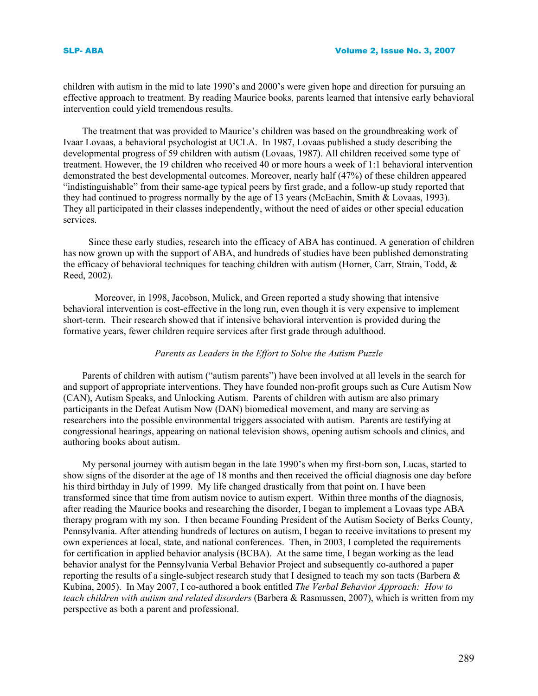children with autism in the mid to late 1990's and 2000's were given hope and direction for pursuing an effective approach to treatment. By reading Maurice books, parents learned that intensive early behavioral intervention could yield tremendous results.

The treatment that was provided to Maurice's children was based on the groundbreaking work of Ivaar Lovaas, a behavioral psychologist at UCLA. In 1987, Lovaas published a study describing the developmental progress of 59 children with autism (Lovaas, 1987). All children received some type of treatment. However, the 19 children who received 40 or more hours a week of 1:1 behavioral intervention demonstrated the best developmental outcomes. Moreover, nearly half (47%) of these children appeared "indistinguishable" from their same-age typical peers by first grade, and a follow-up study reported that they had continued to progress normally by the age of 13 years (McEachin, Smith & Lovaas, 1993). They all participated in their classes independently, without the need of aides or other special education services.

 Since these early studies, research into the efficacy of ABA has continued. A generation of children has now grown up with the support of ABA, and hundreds of studies have been published demonstrating the efficacy of behavioral techniques for teaching children with autism (Horner, Carr, Strain, Todd, & Reed, 2002).

 Moreover, in 1998, Jacobson, Mulick, and Green reported a study showing that intensive behavioral intervention is cost-effective in the long run, even though it is very expensive to implement short-term. Their research showed that if intensive behavioral intervention is provided during the formative years, fewer children require services after first grade through adulthood.

# *Parents as Leaders in the Effort to Solve the Autism Puzzle*

Parents of children with autism ("autism parents") have been involved at all levels in the search for and support of appropriate interventions. They have founded non-profit groups such as Cure Autism Now (CAN), Autism Speaks, and Unlocking Autism. Parents of children with autism are also primary participants in the Defeat Autism Now (DAN) biomedical movement, and many are serving as researchers into the possible environmental triggers associated with autism. Parents are testifying at congressional hearings, appearing on national television shows, opening autism schools and clinics, and authoring books about autism.

My personal journey with autism began in the late 1990's when my first-born son, Lucas, started to show signs of the disorder at the age of 18 months and then received the official diagnosis one day before his third birthday in July of 1999. My life changed drastically from that point on. I have been transformed since that time from autism novice to autism expert. Within three months of the diagnosis, after reading the Maurice books and researching the disorder, I began to implement a Lovaas type ABA therapy program with my son. I then became Founding President of the Autism Society of Berks County, Pennsylvania. After attending hundreds of lectures on autism, I began to receive invitations to present my own experiences at local, state, and national conferences. Then, in 2003, I completed the requirements for certification in applied behavior analysis (BCBA). At the same time, I began working as the lead behavior analyst for the Pennsylvania Verbal Behavior Project and subsequently co-authored a paper reporting the results of a single-subject research study that I designed to teach my son tacts (Barbera & Kubina, 2005). In May 2007, I co-authored a book entitled *The Verbal Behavior Approach: How to teach children with autism and related disorders* (Barbera & Rasmussen, 2007), which is written from my perspective as both a parent and professional.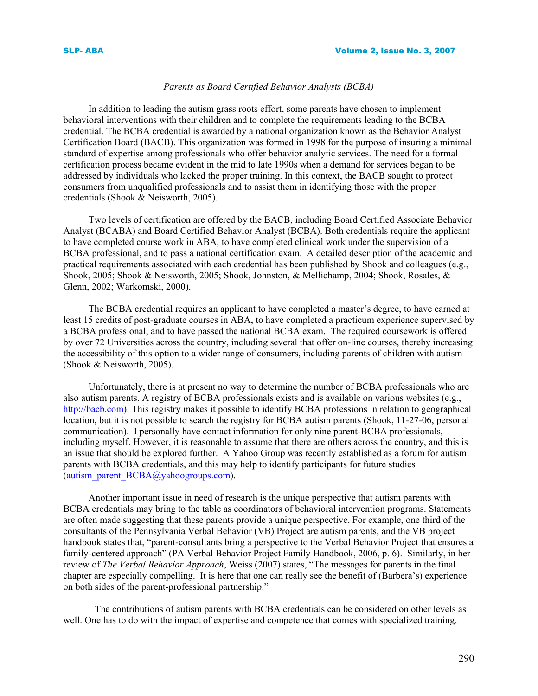# *Parents as Board Certified Behavior Analysts (BCBA)*

 In addition to leading the autism grass roots effort, some parents have chosen to implement behavioral interventions with their children and to complete the requirements leading to the BCBA credential. The BCBA credential is awarded by a national organization known as the Behavior Analyst Certification Board (BACB). This organization was formed in 1998 for the purpose of insuring a minimal standard of expertise among professionals who offer behavior analytic services. The need for a formal certification process became evident in the mid to late 1990s when a demand for services began to be addressed by individuals who lacked the proper training. In this context, the BACB sought to protect consumers from unqualified professionals and to assist them in identifying those with the proper credentials (Shook & Neisworth, 2005).

 Two levels of certification are offered by the BACB, including Board Certified Associate Behavior Analyst (BCABA) and Board Certified Behavior Analyst (BCBA). Both credentials require the applicant to have completed course work in ABA, to have completed clinical work under the supervision of a BCBA professional, and to pass a national certification exam. A detailed description of the academic and practical requirements associated with each credential has been published by Shook and colleagues (e.g., Shook, 2005; Shook & Neisworth, 2005; Shook, Johnston, & Mellichamp, 2004; Shook, Rosales, & Glenn, 2002; Warkomski, 2000).

 The BCBA credential requires an applicant to have completed a master's degree, to have earned at least 15 credits of post-graduate courses in ABA, to have completed a practicum experience supervised by a BCBA professional, and to have passed the national BCBA exam. The required coursework is offered by over 72 Universities across the country, including several that offer on-line courses, thereby increasing the accessibility of this option to a wider range of consumers, including parents of children with autism (Shook & Neisworth, 2005).

 Unfortunately, there is at present no way to determine the number of BCBA professionals who are also autism parents. A registry of BCBA professionals exists and is available on various websites (e.g., http://bacb.com). This registry makes it possible to identify BCBA professions in relation to geographical location, but it is not possible to search the registry for BCBA autism parents (Shook, 11-27-06, personal communication). I personally have contact information for only nine parent-BCBA professionals, including myself. However, it is reasonable to assume that there are others across the country, and this is an issue that should be explored further. A Yahoo Group was recently established as a forum for autism parents with BCBA credentials, and this may help to identify participants for future studies (autism parent  $BCBA@$ yahoogroups.com).

 Another important issue in need of research is the unique perspective that autism parents with BCBA credentials may bring to the table as coordinators of behavioral intervention programs. Statements are often made suggesting that these parents provide a unique perspective. For example, one third of the consultants of the Pennsylvania Verbal Behavior (VB) Project are autism parents, and the VB project handbook states that, "parent-consultants bring a perspective to the Verbal Behavior Project that ensures a family-centered approach" (PA Verbal Behavior Project Family Handbook, 2006, p. 6). Similarly, in her review of *The Verbal Behavior Approach*, Weiss (2007) states, "The messages for parents in the final chapter are especially compelling. It is here that one can really see the benefit of (Barbera's) experience on both sides of the parent-professional partnership."

The contributions of autism parents with BCBA credentials can be considered on other levels as well. One has to do with the impact of expertise and competence that comes with specialized training.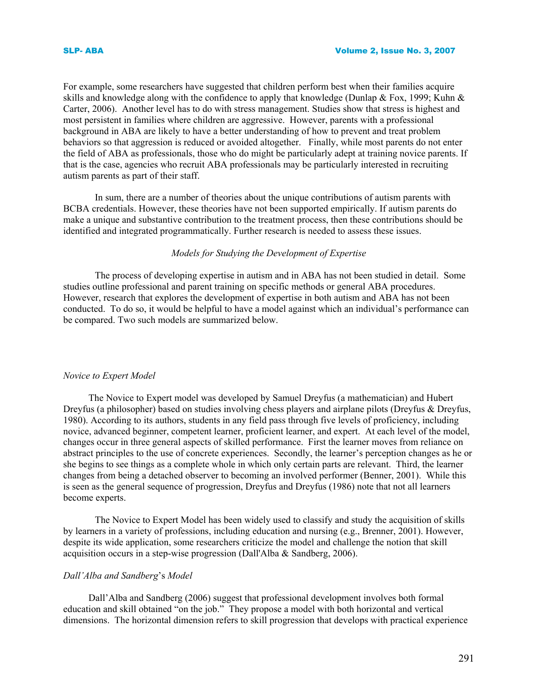For example, some researchers have suggested that children perform best when their families acquire skills and knowledge along with the confidence to apply that knowledge (Dunlap & Fox, 1999; Kuhn & Carter, 2006). Another level has to do with stress management. Studies show that stress is highest and most persistent in families where children are aggressive. However, parents with a professional background in ABA are likely to have a better understanding of how to prevent and treat problem behaviors so that aggression is reduced or avoided altogether. Finally, while most parents do not enter the field of ABA as professionals, those who do might be particularly adept at training novice parents. If that is the case, agencies who recruit ABA professionals may be particularly interested in recruiting autism parents as part of their staff.

In sum, there are a number of theories about the unique contributions of autism parents with BCBA credentials. However, these theories have not been supported empirically. If autism parents do make a unique and substantive contribution to the treatment process, then these contributions should be identified and integrated programmatically. Further research is needed to assess these issues.

# *Models for Studying the Development of Expertise*

The process of developing expertise in autism and in ABA has not been studied in detail. Some studies outline professional and parent training on specific methods or general ABA procedures. However, research that explores the development of expertise in both autism and ABA has not been conducted. To do so, it would be helpful to have a model against which an individual's performance can be compared. Two such models are summarized below.

#### *Novice to Expert Model*

 The Novice to Expert model was developed by Samuel Dreyfus (a mathematician) and Hubert Dreyfus (a philosopher) based on studies involving chess players and airplane pilots (Dreyfus & Dreyfus, 1980). According to its authors, students in any field pass through five levels of proficiency, including novice, advanced beginner, competent learner, proficient learner, and expert. At each level of the model, changes occur in three general aspects of skilled performance. First the learner moves from reliance on abstract principles to the use of concrete experiences. Secondly, the learner's perception changes as he or she begins to see things as a complete whole in which only certain parts are relevant. Third, the learner changes from being a detached observer to becoming an involved performer (Benner, 2001). While this is seen as the general sequence of progression, Dreyfus and Dreyfus (1986) note that not all learners become experts.

The Novice to Expert Model has been widely used to classify and study the acquisition of skills by learners in a variety of professions, including education and nursing (e.g., Brenner, 2001). However, despite its wide application, some researchers criticize the model and challenge the notion that skill acquisition occurs in a step-wise progression (Dall'Alba & Sandberg, 2006).

#### *Dall'Alba and Sandberg*'s *Model*

 Dall'Alba and Sandberg (2006) suggest that professional development involves both formal education and skill obtained "on the job." They propose a model with both horizontal and vertical dimensions. The horizontal dimension refers to skill progression that develops with practical experience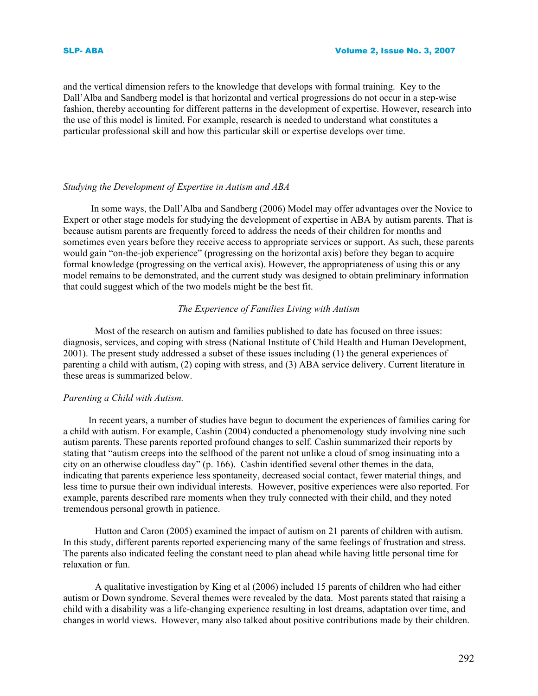and the vertical dimension refers to the knowledge that develops with formal training. Key to the Dall'Alba and Sandberg model is that horizontal and vertical progressions do not occur in a step-wise fashion, thereby accounting for different patterns in the development of expertise. However, research into the use of this model is limited. For example, research is needed to understand what constitutes a particular professional skill and how this particular skill or expertise develops over time.

# *Studying the Development of Expertise in Autism and ABA*

In some ways, the Dall'Alba and Sandberg (2006) Model may offer advantages over the Novice to Expert or other stage models for studying the development of expertise in ABA by autism parents. That is because autism parents are frequently forced to address the needs of their children for months and sometimes even years before they receive access to appropriate services or support. As such, these parents would gain "on-the-job experience" (progressing on the horizontal axis) before they began to acquire formal knowledge (progressing on the vertical axis). However, the appropriateness of using this or any model remains to be demonstrated, and the current study was designed to obtain preliminary information that could suggest which of the two models might be the best fit.

# *The Experience of Families Living with Autism*

Most of the research on autism and families published to date has focused on three issues: diagnosis, services, and coping with stress (National Institute of Child Health and Human Development, 2001). The present study addressed a subset of these issues including (1) the general experiences of parenting a child with autism, (2) coping with stress, and (3) ABA service delivery. Current literature in these areas is summarized below.

#### *Parenting a Child with Autism.*

 In recent years, a number of studies have begun to document the experiences of families caring for a child with autism. For example, Cashin (2004) conducted a phenomenology study involving nine such autism parents. These parents reported profound changes to self. Cashin summarized their reports by stating that "autism creeps into the selfhood of the parent not unlike a cloud of smog insinuating into a city on an otherwise cloudless day" (p. 166). Cashin identified several other themes in the data, indicating that parents experience less spontaneity, decreased social contact, fewer material things, and less time to pursue their own individual interests. However, positive experiences were also reported. For example, parents described rare moments when they truly connected with their child, and they noted tremendous personal growth in patience.

Hutton and Caron (2005) examined the impact of autism on 21 parents of children with autism. In this study, different parents reported experiencing many of the same feelings of frustration and stress. The parents also indicated feeling the constant need to plan ahead while having little personal time for relaxation or fun.

A qualitative investigation by King et al (2006) included 15 parents of children who had either autism or Down syndrome. Several themes were revealed by the data. Most parents stated that raising a child with a disability was a life-changing experience resulting in lost dreams, adaptation over time, and changes in world views. However, many also talked about positive contributions made by their children.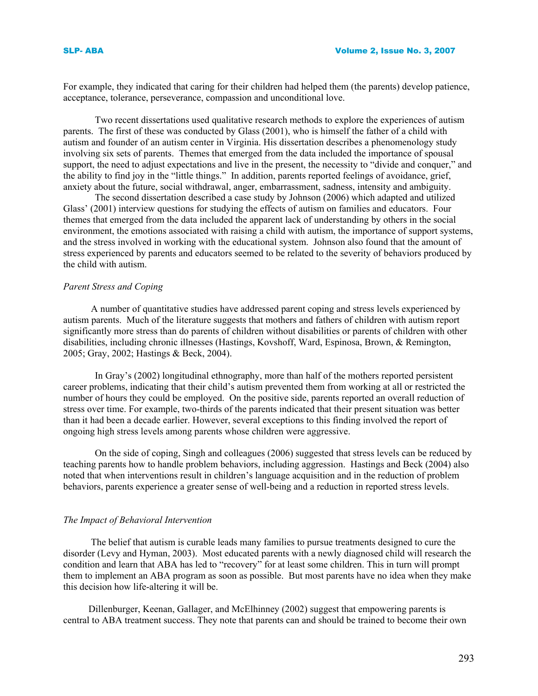For example, they indicated that caring for their children had helped them (the parents) develop patience, acceptance, tolerance, perseverance, compassion and unconditional love.

Two recent dissertations used qualitative research methods to explore the experiences of autism parents. The first of these was conducted by Glass (2001), who is himself the father of a child with autism and founder of an autism center in Virginia. His dissertation describes a phenomenology study involving six sets of parents. Themes that emerged from the data included the importance of spousal support, the need to adjust expectations and live in the present, the necessity to "divide and conquer," and the ability to find joy in the "little things." In addition, parents reported feelings of avoidance, grief, anxiety about the future, social withdrawal, anger, embarrassment, sadness, intensity and ambiguity.

The second dissertation described a case study by Johnson (2006) which adapted and utilized Glass' (2001) interview questions for studying the effects of autism on families and educators. Four themes that emerged from the data included the apparent lack of understanding by others in the social environment, the emotions associated with raising a child with autism, the importance of support systems, and the stress involved in working with the educational system. Johnson also found that the amount of stress experienced by parents and educators seemed to be related to the severity of behaviors produced by the child with autism.

### *Parent Stress and Coping*

A number of quantitative studies have addressed parent coping and stress levels experienced by autism parents. Much of the literature suggests that mothers and fathers of children with autism report significantly more stress than do parents of children without disabilities or parents of children with other disabilities, including chronic illnesses (Hastings, Kovshoff, Ward, Espinosa, Brown, & Remington, 2005; Gray, 2002; Hastings & Beck, 2004).

In Gray's (2002) longitudinal ethnography, more than half of the mothers reported persistent career problems, indicating that their child's autism prevented them from working at all or restricted the number of hours they could be employed. On the positive side, parents reported an overall reduction of stress over time. For example, two-thirds of the parents indicated that their present situation was better than it had been a decade earlier. However, several exceptions to this finding involved the report of ongoing high stress levels among parents whose children were aggressive.

On the side of coping, Singh and colleagues (2006) suggested that stress levels can be reduced by teaching parents how to handle problem behaviors, including aggression. Hastings and Beck (2004) also noted that when interventions result in children's language acquisition and in the reduction of problem behaviors, parents experience a greater sense of well-being and a reduction in reported stress levels.

#### *The Impact of Behavioral Intervention*

The belief that autism is curable leads many families to pursue treatments designed to cure the disorder (Levy and Hyman, 2003). Most educated parents with a newly diagnosed child will research the condition and learn that ABA has led to "recovery" for at least some children. This in turn will prompt them to implement an ABA program as soon as possible. But most parents have no idea when they make this decision how life-altering it will be.

 Dillenburger, Keenan, Gallager, and McElhinney (2002) suggest that empowering parents is central to ABA treatment success. They note that parents can and should be trained to become their own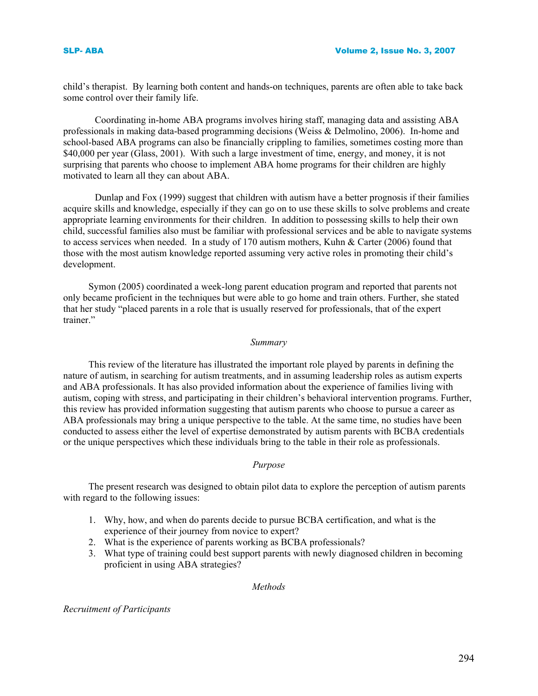child's therapist. By learning both content and hands-on techniques, parents are often able to take back some control over their family life.

Coordinating in-home ABA programs involves hiring staff, managing data and assisting ABA professionals in making data-based programming decisions (Weiss & Delmolino, 2006). In-home and school-based ABA programs can also be financially crippling to families, sometimes costing more than \$40,000 per year (Glass, 2001). With such a large investment of time, energy, and money, it is not surprising that parents who choose to implement ABA home programs for their children are highly motivated to learn all they can about ABA.

Dunlap and Fox (1999) suggest that children with autism have a better prognosis if their families acquire skills and knowledge, especially if they can go on to use these skills to solve problems and create appropriate learning environments for their children. In addition to possessing skills to help their own child, successful families also must be familiar with professional services and be able to navigate systems to access services when needed. In a study of 170 autism mothers, Kuhn & Carter (2006) found that those with the most autism knowledge reported assuming very active roles in promoting their child's development.

 Symon (2005) coordinated a week-long parent education program and reported that parents not only became proficient in the techniques but were able to go home and train others. Further, she stated that her study "placed parents in a role that is usually reserved for professionals, that of the expert trainer."

#### *Summary*

 This review of the literature has illustrated the important role played by parents in defining the nature of autism, in searching for autism treatments, and in assuming leadership roles as autism experts and ABA professionals. It has also provided information about the experience of families living with autism, coping with stress, and participating in their children's behavioral intervention programs. Further, this review has provided information suggesting that autism parents who choose to pursue a career as ABA professionals may bring a unique perspective to the table. At the same time, no studies have been conducted to assess either the level of expertise demonstrated by autism parents with BCBA credentials or the unique perspectives which these individuals bring to the table in their role as professionals.

# *Purpose*

 The present research was designed to obtain pilot data to explore the perception of autism parents with regard to the following issues:

- 1. Why, how, and when do parents decide to pursue BCBA certification, and what is the experience of their journey from novice to expert?
- 2. What is the experience of parents working as BCBA professionals?
- 3. What type of training could best support parents with newly diagnosed children in becoming proficient in using ABA strategies?

# *Methods*

*Recruitment of Participants*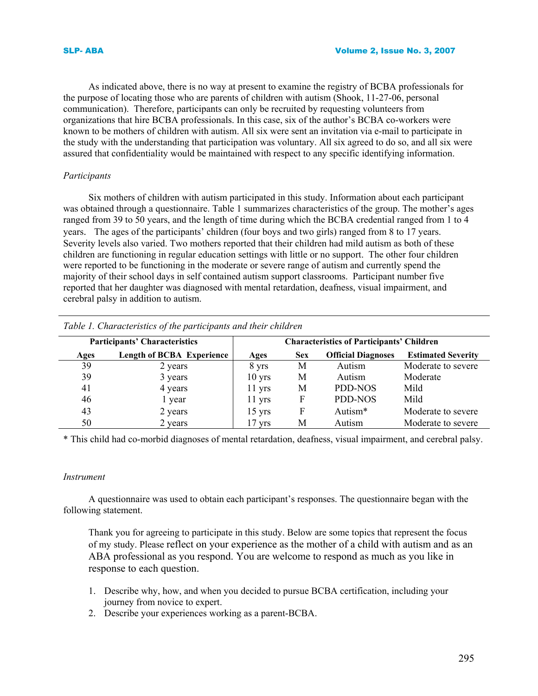As indicated above, there is no way at present to examine the registry of BCBA professionals for the purpose of locating those who are parents of children with autism (Shook, 11-27-06, personal communication). Therefore, participants can only be recruited by requesting volunteers from organizations that hire BCBA professionals. In this case, six of the author's BCBA co-workers were known to be mothers of children with autism. All six were sent an invitation via e-mail to participate in the study with the understanding that participation was voluntary. All six agreed to do so, and all six were assured that confidentiality would be maintained with respect to any specific identifying information.

# *Participants*

Six mothers of children with autism participated in this study. Information about each participant was obtained through a questionnaire. Table 1 summarizes characteristics of the group. The mother's ages ranged from 39 to 50 years, and the length of time during which the BCBA credential ranged from 1 to 4 years. The ages of the participants' children (four boys and two girls) ranged from 8 to 17 years. Severity levels also varied. Two mothers reported that their children had mild autism as both of these children are functioning in regular education settings with little or no support. The other four children were reported to be functioning in the moderate or severe range of autism and currently spend the majority of their school days in self contained autism support classrooms. Participant number five reported that her daughter was diagnosed with mental retardation, deafness, visual impairment, and cerebral palsy in addition to autism.

| <b>Participants' Characteristics</b> |                                  | <b>Characteristics of Participants' Children</b> |            |                           |                           |
|--------------------------------------|----------------------------------|--------------------------------------------------|------------|---------------------------|---------------------------|
| Ages                                 | <b>Length of BCBA Experience</b> | Ages                                             | <b>Sex</b> | <b>Official Diagnoses</b> | <b>Estimated Severity</b> |
| 39                                   | 2 years                          | 8 yrs                                            | М          | Autism                    | Moderate to severe        |
| 39                                   | 3 years                          | $10$ yrs                                         | М          | Autism                    | Moderate                  |
| 41                                   | 4 years                          | $11$ yrs                                         | М          | PDD-NOS                   | Mild                      |
| 46                                   | l year                           | $11$ yrs                                         | F          | PDD-NOS                   | Mild                      |
| 43                                   | 2 years                          | $15 \text{ yrs}$                                 | F          | Autism*                   | Moderate to severe        |
| 50                                   | 2 years                          | 17 yrs                                           | М          | Autism                    | Moderate to severe        |

*Table 1. Characteristics of the participants and their children* 

\* This child had co-morbid diagnoses of mental retardation, deafness, visual impairment, and cerebral palsy.

# *Instrument*

A questionnaire was used to obtain each participant's responses. The questionnaire began with the following statement.

Thank you for agreeing to participate in this study. Below are some topics that represent the focus of my study. Please reflect on your experience as the mother of a child with autism and as an ABA professional as you respond. You are welcome to respond as much as you like in response to each question.

- 1. Describe why, how, and when you decided to pursue BCBA certification, including your journey from novice to expert.
- 2. Describe your experiences working as a parent-BCBA.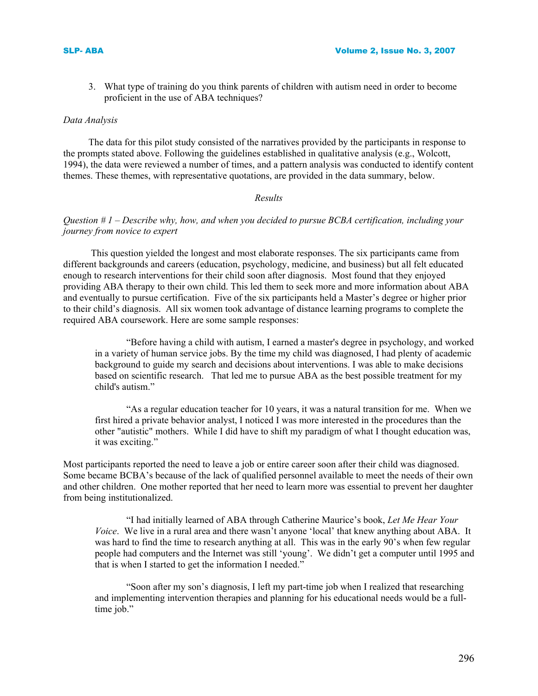3. What type of training do you think parents of children with autism need in order to become proficient in the use of ABA techniques?

#### *Data Analysis*

The data for this pilot study consisted of the narratives provided by the participants in response to the prompts stated above. Following the guidelines established in qualitative analysis (e.g., Wolcott, 1994), the data were reviewed a number of times, and a pattern analysis was conducted to identify content themes. These themes, with representative quotations, are provided in the data summary, below.

# *Results*

# *Question # 1 – Describe why, how, and when you decided to pursue BCBA certification, including your journey from novice to expert*

This question yielded the longest and most elaborate responses. The six participants came from different backgrounds and careers (education, psychology, medicine, and business) but all felt educated enough to research interventions for their child soon after diagnosis. Most found that they enjoyed providing ABA therapy to their own child. This led them to seek more and more information about ABA and eventually to pursue certification. Five of the six participants held a Master's degree or higher prior to their child's diagnosis. All six women took advantage of distance learning programs to complete the required ABA coursework. Here are some sample responses:

"Before having a child with autism, I earned a master's degree in psychology, and worked in a variety of human service jobs. By the time my child was diagnosed, I had plenty of academic background to guide my search and decisions about interventions. I was able to make decisions based on scientific research. That led me to pursue ABA as the best possible treatment for my child's autism."

 "As a regular education teacher for 10 years, it was a natural transition for me. When we first hired a private behavior analyst, I noticed I was more interested in the procedures than the other "autistic" mothers. While I did have to shift my paradigm of what I thought education was, it was exciting."

Most participants reported the need to leave a job or entire career soon after their child was diagnosed. Some became BCBA's because of the lack of qualified personnel available to meet the needs of their own and other children. One mother reported that her need to learn more was essential to prevent her daughter from being institutionalized.

 "I had initially learned of ABA through Catherine Maurice's book, *Let Me Hear Your Voice*. We live in a rural area and there wasn't anyone 'local' that knew anything about ABA. It was hard to find the time to research anything at all. This was in the early 90's when few regular people had computers and the Internet was still 'young'. We didn't get a computer until 1995 and that is when I started to get the information I needed."

 "Soon after my son's diagnosis, I left my part-time job when I realized that researching and implementing intervention therapies and planning for his educational needs would be a fulltime job."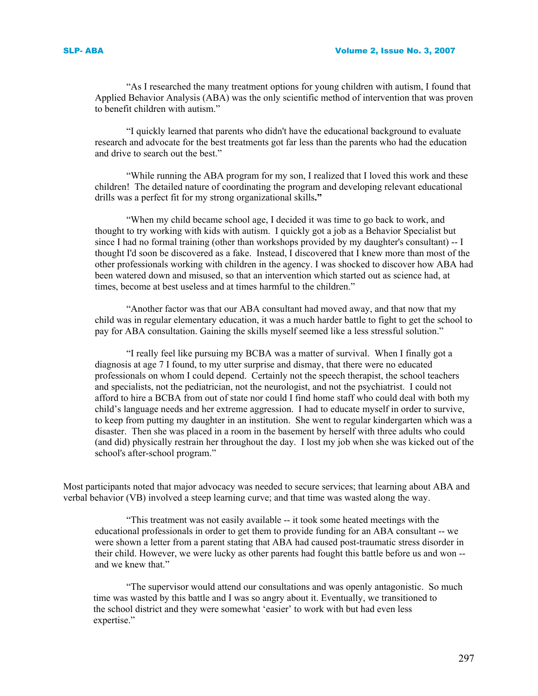"As I researched the many treatment options for young children with autism, I found that Applied Behavior Analysis (ABA) was the only scientific method of intervention that was proven to benefit children with autism."

 "I quickly learned that parents who didn't have the educational background to evaluate research and advocate for the best treatments got far less than the parents who had the education and drive to search out the best."

 "While running the ABA program for my son, I realized that I loved this work and these children! The detailed nature of coordinating the program and developing relevant educational drills was a perfect fit for my strong organizational skills**."**

 "When my child became school age, I decided it was time to go back to work, and thought to try working with kids with autism. I quickly got a job as a Behavior Specialist but since I had no formal training (other than workshops provided by my daughter's consultant) -- I thought I'd soon be discovered as a fake. Instead, I discovered that I knew more than most of the other professionals working with children in the agency. I was shocked to discover how ABA had been watered down and misused, so that an intervention which started out as science had, at times, become at best useless and at times harmful to the children."

 "Another factor was that our ABA consultant had moved away, and that now that my child was in regular elementary education, it was a much harder battle to fight to get the school to pay for ABA consultation. Gaining the skills myself seemed like a less stressful solution."

 "I really feel like pursuing my BCBA was a matter of survival. When I finally got a diagnosis at age 7 I found, to my utter surprise and dismay, that there were no educated professionals on whom I could depend. Certainly not the speech therapist, the school teachers and specialists, not the pediatrician, not the neurologist, and not the psychiatrist. I could not afford to hire a BCBA from out of state nor could I find home staff who could deal with both my child's language needs and her extreme aggression. I had to educate myself in order to survive, to keep from putting my daughter in an institution. She went to regular kindergarten which was a disaster. Then she was placed in a room in the basement by herself with three adults who could (and did) physically restrain her throughout the day. I lost my job when she was kicked out of the school's after-school program."

Most participants noted that major advocacy was needed to secure services; that learning about ABA and verbal behavior (VB) involved a steep learning curve; and that time was wasted along the way.

 "This treatment was not easily available -- it took some heated meetings with the educational professionals in order to get them to provide funding for an ABA consultant -- we were shown a letter from a parent stating that ABA had caused post-traumatic stress disorder in their child. However, we were lucky as other parents had fought this battle before us and won - and we knew that."

 "The supervisor would attend our consultations and was openly antagonistic. So much time was wasted by this battle and I was so angry about it. Eventually, we transitioned to the school district and they were somewhat 'easier' to work with but had even less expertise."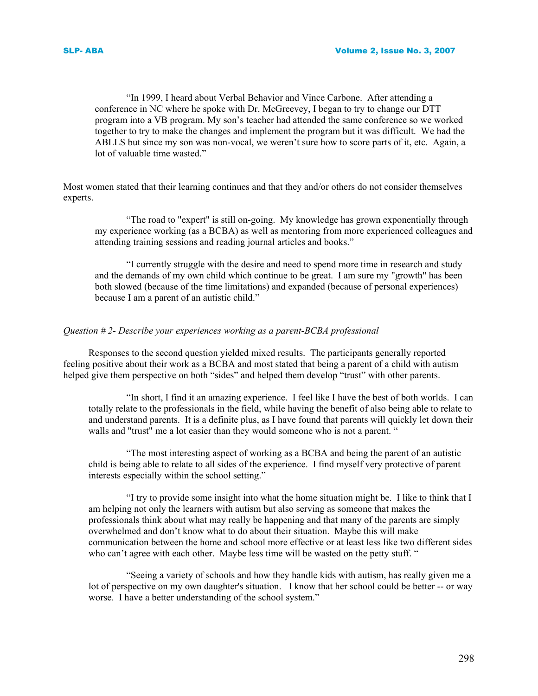"In 1999, I heard about Verbal Behavior and Vince Carbone. After attending a conference in NC where he spoke with Dr. McGreevey, I began to try to change our DTT program into a VB program. My son's teacher had attended the same conference so we worked together to try to make the changes and implement the program but it was difficult. We had the ABLLS but since my son was non-vocal, we weren't sure how to score parts of it, etc. Again, a lot of valuable time wasted."

Most women stated that their learning continues and that they and/or others do not consider themselves experts.

 "The road to "expert" is still on-going. My knowledge has grown exponentially through my experience working (as a BCBA) as well as mentoring from more experienced colleagues and attending training sessions and reading journal articles and books."

 "I currently struggle with the desire and need to spend more time in research and study and the demands of my own child which continue to be great. I am sure my "growth" has been both slowed (because of the time limitations) and expanded (because of personal experiences) because I am a parent of an autistic child."

#### *Question # 2- Describe your experiences working as a parent-BCBA professional*

Responses to the second question yielded mixed results. The participants generally reported feeling positive about their work as a BCBA and most stated that being a parent of a child with autism helped give them perspective on both "sides" and helped them develop "trust" with other parents.

 "In short, I find it an amazing experience. I feel like I have the best of both worlds. I can totally relate to the professionals in the field, while having the benefit of also being able to relate to and understand parents. It is a definite plus, as I have found that parents will quickly let down their walls and "trust" me a lot easier than they would someone who is not a parent. "

 "The most interesting aspect of working as a BCBA and being the parent of an autistic child is being able to relate to all sides of the experience. I find myself very protective of parent interests especially within the school setting."

 "I try to provide some insight into what the home situation might be. I like to think that I am helping not only the learners with autism but also serving as someone that makes the professionals think about what may really be happening and that many of the parents are simply overwhelmed and don't know what to do about their situation. Maybe this will make communication between the home and school more effective or at least less like two different sides who can't agree with each other. Maybe less time will be wasted on the petty stuff. "

 "Seeing a variety of schools and how they handle kids with autism, has really given me a lot of perspective on my own daughter's situation. I know that her school could be better -- or way worse. I have a better understanding of the school system."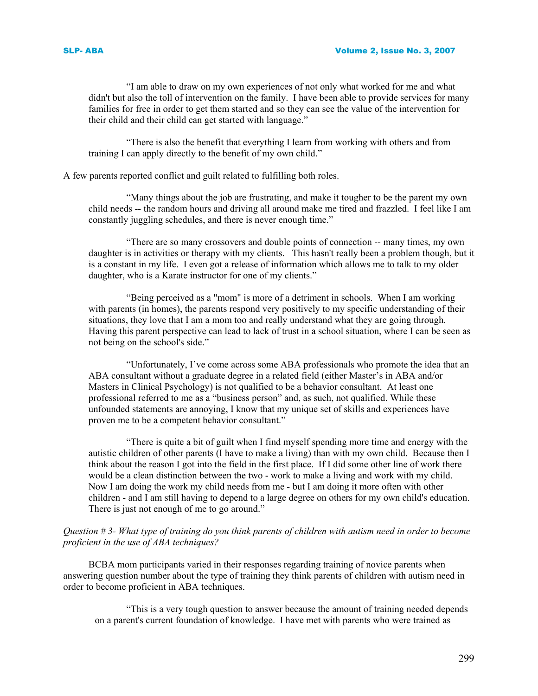"I am able to draw on my own experiences of not only what worked for me and what didn't but also the toll of intervention on the family. I have been able to provide services for many families for free in order to get them started and so they can see the value of the intervention for their child and their child can get started with language."

 "There is also the benefit that everything I learn from working with others and from training I can apply directly to the benefit of my own child."

A few parents reported conflict and guilt related to fulfilling both roles.

 "Many things about the job are frustrating, and make it tougher to be the parent my own child needs -- the random hours and driving all around make me tired and frazzled. I feel like I am constantly juggling schedules, and there is never enough time."

 "There are so many crossovers and double points of connection -- many times, my own daughter is in activities or therapy with my clients. This hasn't really been a problem though, but it is a constant in my life. I even got a release of information which allows me to talk to my older daughter, who is a Karate instructor for one of my clients."

 "Being perceived as a "mom" is more of a detriment in schools. When I am working with parents (in homes), the parents respond very positively to my specific understanding of their situations, they love that I am a mom too and really understand what they are going through. Having this parent perspective can lead to lack of trust in a school situation, where I can be seen as not being on the school's side."

 "Unfortunately, I've come across some ABA professionals who promote the idea that an ABA consultant without a graduate degree in a related field (either Master's in ABA and/or Masters in Clinical Psychology) is not qualified to be a behavior consultant. At least one professional referred to me as a "business person" and, as such, not qualified. While these unfounded statements are annoying, I know that my unique set of skills and experiences have proven me to be a competent behavior consultant."

 "There is quite a bit of guilt when I find myself spending more time and energy with the autistic children of other parents (I have to make a living) than with my own child. Because then I think about the reason I got into the field in the first place. If I did some other line of work there would be a clean distinction between the two - work to make a living and work with my child. Now I am doing the work my child needs from me - but I am doing it more often with other children - and I am still having to depend to a large degree on others for my own child's education. There is just not enough of me to go around."

# *Question # 3- What type of training do you think parents of children with autism need in order to become proficient in the use of ABA techniques?*

BCBA mom participants varied in their responses regarding training of novice parents when answering question number about the type of training they think parents of children with autism need in order to become proficient in ABA techniques.

 "This is a very tough question to answer because the amount of training needed depends on a parent's current foundation of knowledge. I have met with parents who were trained as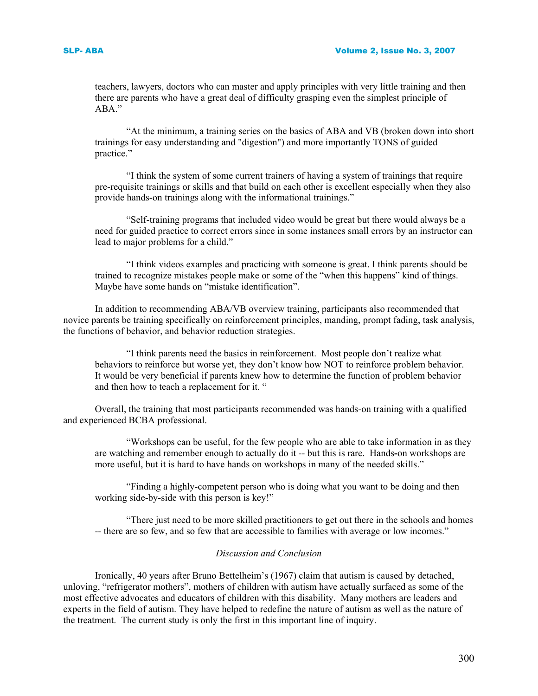teachers, lawyers, doctors who can master and apply principles with very little training and then there are parents who have a great deal of difficulty grasping even the simplest principle of ABA"

 "At the minimum, a training series on the basics of ABA and VB (broken down into short trainings for easy understanding and "digestion") and more importantly TONS of guided practice."

 "I think the system of some current trainers of having a system of trainings that require pre-requisite trainings or skills and that build on each other is excellent especially when they also provide hands-on trainings along with the informational trainings."

 "Self-training programs that included video would be great but there would always be a need for guided practice to correct errors since in some instances small errors by an instructor can lead to major problems for a child."

 "I think videos examples and practicing with someone is great. I think parents should be trained to recognize mistakes people make or some of the "when this happens" kind of things. Maybe have some hands on "mistake identification".

In addition to recommending ABA/VB overview training, participants also recommended that novice parents be training specifically on reinforcement principles, manding, prompt fading, task analysis, the functions of behavior, and behavior reduction strategies.

 "I think parents need the basics in reinforcement. Most people don't realize what behaviors to reinforce but worse yet, they don't know how NOT to reinforce problem behavior. It would be very beneficial if parents knew how to determine the function of problem behavior and then how to teach a replacement for it. "

Overall, the training that most participants recommended was hands-on training with a qualified and experienced BCBA professional.

 "Workshops can be useful, for the few people who are able to take information in as they are watching and remember enough to actually do it -- but this is rare. Hands**-**on workshops are more useful, but it is hard to have hands on workshops in many of the needed skills."

 "Finding a highly-competent person who is doing what you want to be doing and then working side-by-side with this person is key!"

 "There just need to be more skilled practitioners to get out there in the schools and homes -- there are so few, and so few that are accessible to families with average or low incomes."

### *Discussion and Conclusion*

Ironically, 40 years after Bruno Bettelheim's (1967) claim that autism is caused by detached, unloving, "refrigerator mothers", mothers of children with autism have actually surfaced as some of the most effective advocates and educators of children with this disability. Many mothers are leaders and experts in the field of autism. They have helped to redefine the nature of autism as well as the nature of the treatment. The current study is only the first in this important line of inquiry.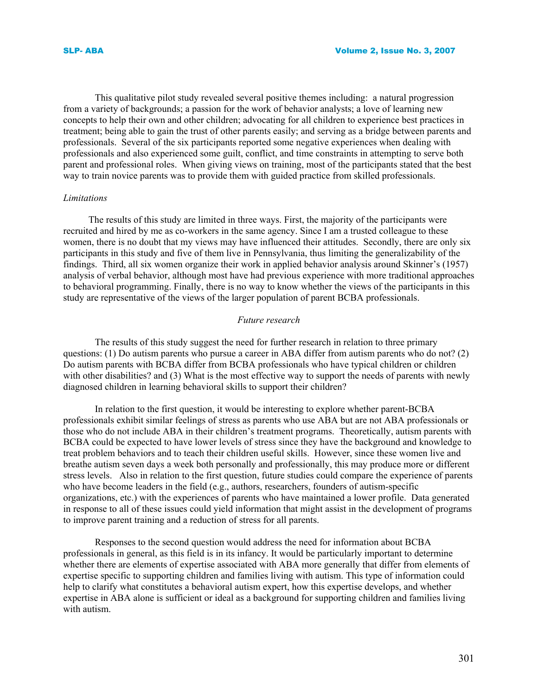This qualitative pilot study revealed several positive themes including: a natural progression from a variety of backgrounds; a passion for the work of behavior analysts; a love of learning new concepts to help their own and other children; advocating for all children to experience best practices in treatment; being able to gain the trust of other parents easily; and serving as a bridge between parents and professionals. Several of the six participants reported some negative experiences when dealing with professionals and also experienced some guilt, conflict, and time constraints in attempting to serve both parent and professional roles. When giving views on training, most of the participants stated that the best way to train novice parents was to provide them with guided practice from skilled professionals.

# *Limitations*

 The results of this study are limited in three ways. First, the majority of the participants were recruited and hired by me as co-workers in the same agency. Since I am a trusted colleague to these women, there is no doubt that my views may have influenced their attitudes. Secondly, there are only six participants in this study and five of them live in Pennsylvania, thus limiting the generalizability of the findings. Third, all six women organize their work in applied behavior analysis around Skinner's (1957) analysis of verbal behavior, although most have had previous experience with more traditional approaches to behavioral programming. Finally, there is no way to know whether the views of the participants in this study are representative of the views of the larger population of parent BCBA professionals.

#### *Future research*

The results of this study suggest the need for further research in relation to three primary questions: (1) Do autism parents who pursue a career in ABA differ from autism parents who do not? (2) Do autism parents with BCBA differ from BCBA professionals who have typical children or children with other disabilities? and (3) What is the most effective way to support the needs of parents with newly diagnosed children in learning behavioral skills to support their children?

In relation to the first question, it would be interesting to explore whether parent-BCBA professionals exhibit similar feelings of stress as parents who use ABA but are not ABA professionals or those who do not include ABA in their children's treatment programs. Theoretically, autism parents with BCBA could be expected to have lower levels of stress since they have the background and knowledge to treat problem behaviors and to teach their children useful skills. However, since these women live and breathe autism seven days a week both personally and professionally, this may produce more or different stress levels. Also in relation to the first question, future studies could compare the experience of parents who have become leaders in the field (e.g., authors, researchers, founders of autism-specific organizations, etc.) with the experiences of parents who have maintained a lower profile. Data generated in response to all of these issues could yield information that might assist in the development of programs to improve parent training and a reduction of stress for all parents.

Responses to the second question would address the need for information about BCBA professionals in general, as this field is in its infancy. It would be particularly important to determine whether there are elements of expertise associated with ABA more generally that differ from elements of expertise specific to supporting children and families living with autism. This type of information could help to clarify what constitutes a behavioral autism expert, how this expertise develops, and whether expertise in ABA alone is sufficient or ideal as a background for supporting children and families living with autism.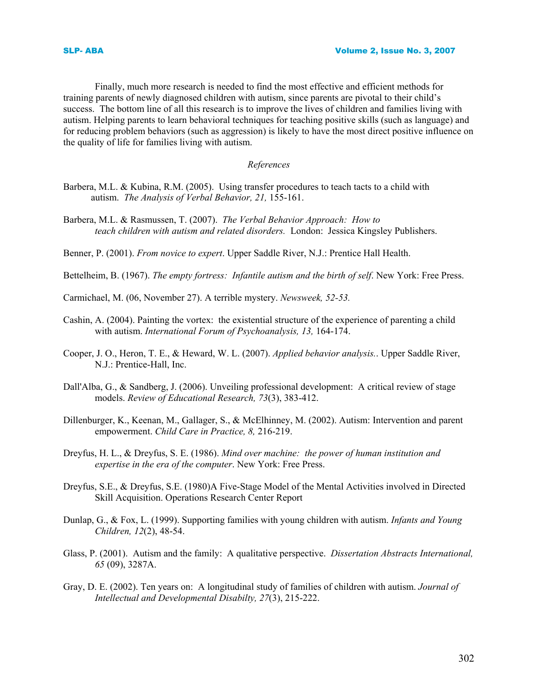Finally, much more research is needed to find the most effective and efficient methods for training parents of newly diagnosed children with autism, since parents are pivotal to their child's success. The bottom line of all this research is to improve the lives of children and families living with autism. Helping parents to learn behavioral techniques for teaching positive skills (such as language) and for reducing problem behaviors (such as aggression) is likely to have the most direct positive influence on the quality of life for families living with autism.

#### *References*

- Barbera, M.L. & Kubina, R.M. (2005). Using transfer procedures to teach tacts to a child with autism. *The Analysis of Verbal Behavior, 21,* 155-161.
- Barbera, M.L. & Rasmussen, T. (2007). *The Verbal Behavior Approach: How to teach children with autism and related disorders.* London: Jessica Kingsley Publishers.

Benner, P. (2001). *From novice to expert*. Upper Saddle River, N.J.: Prentice Hall Health.

- Bettelheim, B. (1967). *The empty fortress: Infantile autism and the birth of self*. New York: Free Press.
- Carmichael, M. (06, November 27). A terrible mystery. *Newsweek, 52-53.*
- Cashin, A. (2004). Painting the vortex: the existential structure of the experience of parenting a child with autism. *International Forum of Psychoanalysis, 13,* 164-174.
- Cooper, J. O., Heron, T. E., & Heward, W. L. (2007). *Applied behavior analysis.*. Upper Saddle River, N.J.: Prentice-Hall, Inc.
- Dall'Alba, G., & Sandberg, J. (2006). Unveiling professional development: A critical review of stage models. *Review of Educational Research, 73*(3), 383-412.
- Dillenburger, K., Keenan, M., Gallager, S., & McElhinney, M. (2002). Autism: Intervention and parent empowerment. *Child Care in Practice, 8,* 216-219.
- Dreyfus, H. L., & Dreyfus, S. E. (1986). *Mind over machine: the power of human institution and expertise in the era of the computer*. New York: Free Press.
- Dreyfus, S.E., & Dreyfus, S.E. (1980)A Five-Stage Model of the Mental Activities involved in Directed Skill Acquisition. Operations Research Center Report
- Dunlap, G., & Fox, L. (1999). Supporting families with young children with autism. *Infants and Young Children, 12*(2), 48-54.
- Glass, P. (2001). Autism and the family: A qualitative perspective. *Dissertation Abstracts International, 65* (09), 3287A.
- Gray, D. E. (2002). Ten years on: A longitudinal study of families of children with autism. *Journal of Intellectual and Developmental Disabilty, 27*(3), 215-222.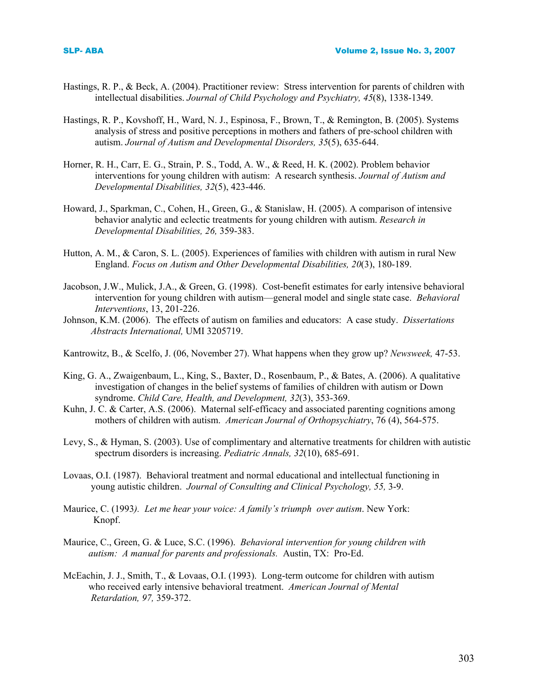- Hastings, R. P., & Beck, A. (2004). Practitioner review: Stress intervention for parents of children with intellectual disabilities. *Journal of Child Psychology and Psychiatry, 45*(8), 1338-1349.
- Hastings, R. P., Kovshoff, H., Ward, N. J., Espinosa, F., Brown, T., & Remington, B. (2005). Systems analysis of stress and positive perceptions in mothers and fathers of pre-school children with autism. *Journal of Autism and Developmental Disorders, 35*(5), 635-644.
- Horner, R. H., Carr, E. G., Strain, P. S., Todd, A. W., & Reed, H. K. (2002). Problem behavior interventions for young children with autism: A research synthesis. *Journal of Autism and Developmental Disabilities, 32*(5), 423-446.
- Howard, J., Sparkman, C., Cohen, H., Green, G., & Stanislaw, H. (2005). A comparison of intensive behavior analytic and eclectic treatments for young children with autism. *Research in Developmental Disabilities, 26,* 359-383.
- Hutton, A. M., & Caron, S. L. (2005). Experiences of families with children with autism in rural New England. *Focus on Autism and Other Developmental Disabilities, 20*(3), 180-189.
- Jacobson, J.W., Mulick, J.A., & Green, G. (1998). Cost-benefit estimates for early intensive behavioral intervention for young children with autism—general model and single state case. *Behavioral Interventions*, 13, 201-226.
- Johnson, K.M. (2006). The effects of autism on families and educators: A case study. *Dissertations Abstracts International,* UMI 3205719.
- Kantrowitz, B., & Scelfo, J. (06, November 27). What happens when they grow up? *Newsweek,* 47-53.
- King, G. A., Zwaigenbaum, L., King, S., Baxter, D., Rosenbaum, P., & Bates, A. (2006). A qualitative investigation of changes in the belief systems of families of children with autism or Down syndrome. *Child Care, Health, and Development, 32*(3), 353-369.
- Kuhn, J. C. & Carter, A.S. (2006). Maternal self-efficacy and associated parenting cognitions among mothers of children with autism. *American Journal of Orthopsychiatry*, 76 (4), 564-575.
- Levy, S., & Hyman, S. (2003). Use of complimentary and alternative treatments for children with autistic spectrum disorders is increasing. *Pediatric Annals, 32*(10), 685-691.
- Lovaas, O.I. (1987). Behavioral treatment and normal educational and intellectual functioning in young autistic children. *Journal of Consulting and Clinical Psychology, 55,* 3-9.
- Maurice, C. (1993*). Let me hear your voice: A family's triumph over autism*. New York: Knopf.
- Maurice, C., Green, G. & Luce, S.C. (1996). *Behavioral intervention for young children with autism: A manual for parents and professionals.* Austin, TX: Pro-Ed.
- McEachin, J. J., Smith, T., & Lovaas, O.I. (1993). Long-term outcome for children with autism who received early intensive behavioral treatment. *American Journal of Mental Retardation, 97,* 359-372.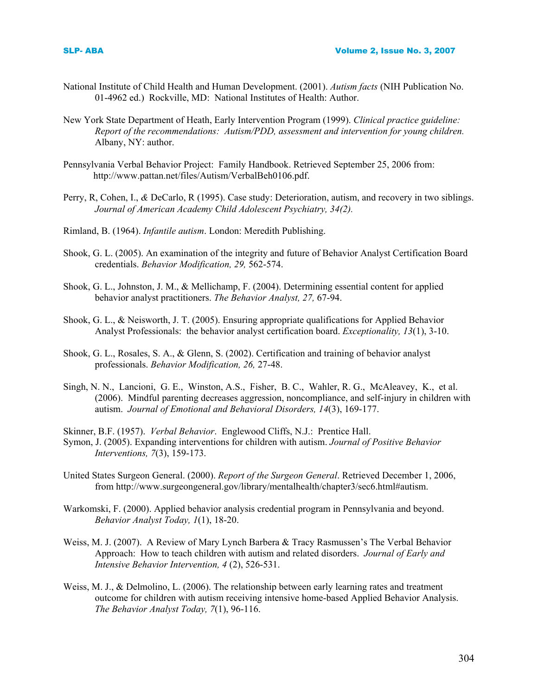- National Institute of Child Health and Human Development. (2001). *Autism facts* (NIH Publication No. 01-4962 ed.) Rockville, MD: National Institutes of Health: Author.
- New York State Department of Heath, Early Intervention Program (1999). *Clinical practice guideline: Report of the recommendations: Autism/PDD, assessment and intervention for young children.* Albany, NY: author.
- Pennsylvania Verbal Behavior Project: Family Handbook. Retrieved September 25, 2006 from: http://www.pattan.net/files/Autism/VerbalBeh0106.pdf.
- Perry, R, Cohen, I., *&* DeCarlo, R (1995). Case study: Deterioration, autism, and recovery in two siblings. *Journal of American Academy Child Adolescent Psychiatry, 34(2).*
- Rimland, B. (1964). *Infantile autism*. London: Meredith Publishing.
- Shook, G. L. (2005). An examination of the integrity and future of Behavior Analyst Certification Board credentials. *Behavior Modification, 29,* 562-574.
- Shook, G. L., Johnston, J. M., & Mellichamp, F. (2004). Determining essential content for applied behavior analyst practitioners. *The Behavior Analyst, 27,* 67-94.
- Shook, G. L., & Neisworth, J. T. (2005). Ensuring appropriate qualifications for Applied Behavior Analyst Professionals: the behavior analyst certification board. *Exceptionality, 13*(1), 3-10.
- Shook, G. L., Rosales, S. A., & Glenn, S. (2002). Certification and training of behavior analyst professionals. *Behavior Modification, 26,* 27-48.
- Singh, N. N., Lancioni, G. E., Winston, A.S., Fisher, B. C., Wahler, R. G., McAleavey, K., et al. (2006). Mindful parenting decreases aggression, noncompliance, and self-injury in children with autism. *Journal of Emotional and Behavioral Disorders, 14*(3), 169-177.
- Skinner, B.F. (1957). *Verbal Behavior*. Englewood Cliffs, N.J.: Prentice Hall.
- Symon, J. (2005). Expanding interventions for children with autism. *Journal of Positive Behavior Interventions, 7*(3), 159-173.
- United States Surgeon General. (2000). *Report of the Surgeon General*. Retrieved December 1, 2006, from http://www.surgeongeneral.gov/library/mentalhealth/chapter3/sec6.html#autism.
- Warkomski, F. (2000). Applied behavior analysis credential program in Pennsylvania and beyond. *Behavior Analyst Today, 1*(1), 18-20.
- Weiss, M. J. (2007). A Review of Mary Lynch Barbera & Tracy Rasmussen's The Verbal Behavior Approach: How to teach children with autism and related disorders. *Journal of Early and Intensive Behavior Intervention, 4* (2), 526-531.
- Weiss, M. J., & Delmolino, L. (2006). The relationship between early learning rates and treatment outcome for children with autism receiving intensive home-based Applied Behavior Analysis. *The Behavior Analyst Today, 7*(1), 96-116.